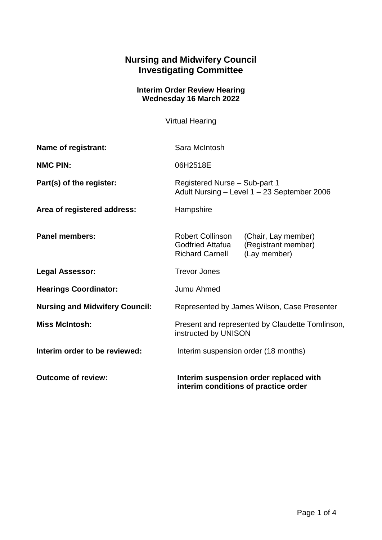## **Nursing and Midwifery Council Investigating Committee**

## **Interim Order Review Hearing Wednesday 16 March 2022**

Virtual Hearing

| Name of registrant:                   | Sara McIntosh                                                                  |                                                            |
|---------------------------------------|--------------------------------------------------------------------------------|------------------------------------------------------------|
| <b>NMC PIN:</b>                       | 06H2518E                                                                       |                                                            |
| Part(s) of the register:              | Registered Nurse - Sub-part 1<br>Adult Nursing - Level 1 - 23 September 2006   |                                                            |
| Area of registered address:           | Hampshire                                                                      |                                                            |
| <b>Panel members:</b>                 | <b>Robert Collinson</b><br><b>Godfried Attafua</b><br><b>Richard Carnell</b>   | (Chair, Lay member)<br>(Registrant member)<br>(Lay member) |
| <b>Legal Assessor:</b>                | <b>Trevor Jones</b>                                                            |                                                            |
| <b>Hearings Coordinator:</b>          | Jumu Ahmed                                                                     |                                                            |
| <b>Nursing and Midwifery Council:</b> | Represented by James Wilson, Case Presenter                                    |                                                            |
| <b>Miss McIntosh:</b>                 | Present and represented by Claudette Tomlinson,<br>instructed by UNISON        |                                                            |
| Interim order to be reviewed:         | Interim suspension order (18 months)                                           |                                                            |
| <b>Outcome of review:</b>             | Interim suspension order replaced with<br>interim conditions of practice order |                                                            |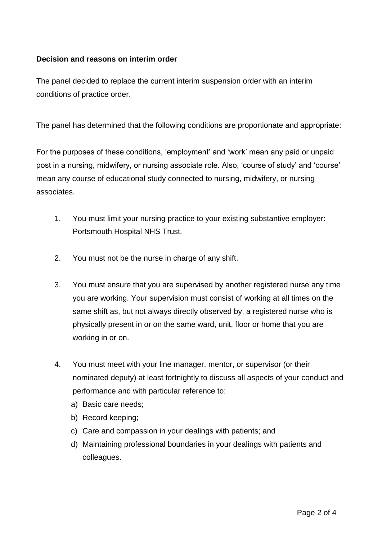## **Decision and reasons on interim order**

The panel decided to replace the current interim suspension order with an interim conditions of practice order.

The panel has determined that the following conditions are proportionate and appropriate:

For the purposes of these conditions, 'employment' and 'work' mean any paid or unpaid post in a nursing, midwifery, or nursing associate role. Also, 'course of study' and 'course' mean any course of educational study connected to nursing, midwifery, or nursing associates.

- 1. You must limit your nursing practice to your existing substantive employer: Portsmouth Hospital NHS Trust.
- 2. You must not be the nurse in charge of any shift.
- 3. You must ensure that you are supervised by another registered nurse any time you are working. Your supervision must consist of working at all times on the same shift as, but not always directly observed by, a registered nurse who is physically present in or on the same ward, unit, floor or home that you are working in or on.
- 4. You must meet with your line manager, mentor, or supervisor (or their nominated deputy) at least fortnightly to discuss all aspects of your conduct and performance and with particular reference to:
	- a) Basic care needs;
	- b) Record keeping;
	- c) Care and compassion in your dealings with patients; and
	- d) Maintaining professional boundaries in your dealings with patients and colleagues.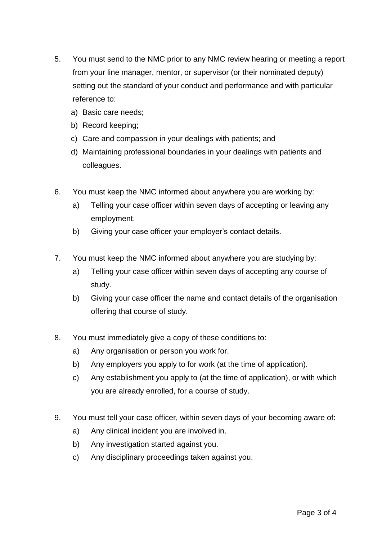- 5. You must send to the NMC prior to any NMC review hearing or meeting a report from your line manager, mentor, or supervisor (or their nominated deputy) setting out the standard of your conduct and performance and with particular reference to:
	- a) Basic care needs;
	- b) Record keeping;
	- c) Care and compassion in your dealings with patients; and
	- d) Maintaining professional boundaries in your dealings with patients and colleagues.
- 6. You must keep the NMC informed about anywhere you are working by:
	- a) Telling your case officer within seven days of accepting or leaving any employment.
	- b) Giving your case officer your employer's contact details.
- 7. You must keep the NMC informed about anywhere you are studying by:
	- a) Telling your case officer within seven days of accepting any course of study.
	- b) Giving your case officer the name and contact details of the organisation offering that course of study.
- 8. You must immediately give a copy of these conditions to:
	- a) Any organisation or person you work for.
	- b) Any employers you apply to for work (at the time of application).
	- c) Any establishment you apply to (at the time of application), or with which you are already enrolled, for a course of study.
- 9. You must tell your case officer, within seven days of your becoming aware of:
	- a) Any clinical incident you are involved in.
	- b) Any investigation started against you.
	- c) Any disciplinary proceedings taken against you.